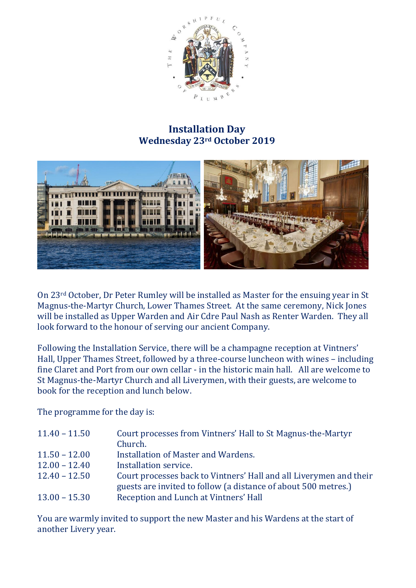

## **Installation Day Wednesday 23rd October 2019**



On 23rd October, Dr Peter Rumley will be installed as Master for the ensuing year in St Magnus-the-Martyr Church, Lower Thames Street. At the same ceremony, Nick Jones will be installed as Upper Warden and Air Cdre Paul Nash as Renter Warden. They all look forward to the honour of serving our ancient Company.

Following the Installation Service, there will be a champagne reception at Vintners' Hall, Upper Thames Street, followed by a three-course luncheon with wines – including fine Claret and Port from our own cellar - in the historic main hall. All are welcome to St Magnus-the-Martyr Church and all Liverymen, with their guests, are welcome to book for the reception and lunch below.

The programme for the day is:

| $11.40 - 11.50$ | Court processes from Vintners' Hall to St Magnus-the-Martyr        |
|-----------------|--------------------------------------------------------------------|
|                 | Church.                                                            |
| $11.50 - 12.00$ | Installation of Master and Wardens.                                |
| $12.00 - 12.40$ | Installation service.                                              |
| $12.40 - 12.50$ | Court processes back to Vintners' Hall and all Liverymen and their |
|                 | guests are invited to follow (a distance of about 500 metres.)     |
| $13.00 - 15.30$ | Reception and Lunch at Vintners' Hall                              |

You are warmly invited to support the new Master and his Wardens at the start of another Livery year.